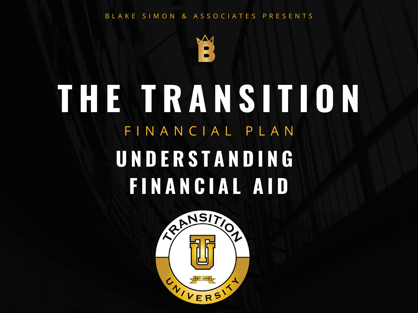#### B L A K E S I M O N & A S S O C I A T E S P R E S E N T S



# **T H E T R A N S I T I O N** F I N A N C I A L P L A N **U N D E R S T A N D I N G F I N A N C I A L A I D**

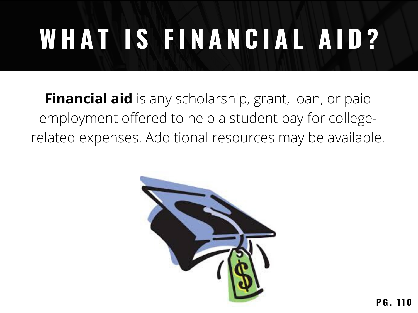# **W H A T I S F I N A N C I A L A I D ?**

**Financial aid** is any scholarship, grant, loan, or paid employment offered to help a student pay for collegerelated expenses. Additional resources may be available.

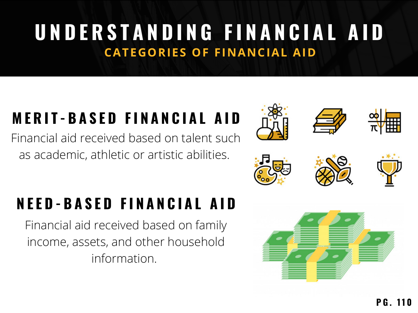# **U N D E R S T A N D I N G F I N A N C I A L A I D CATEGORIES OF FINANCIAL AID**

## **M E R I T - B A S E D F I N A N C I A L A I D**

Financial aid received based on talent such as academic, athletic or artistic abilities.

#### **N E E D - B A S E D F I N A N C I A L A I D**

Financial aid received based on family income, assets, and other household information.

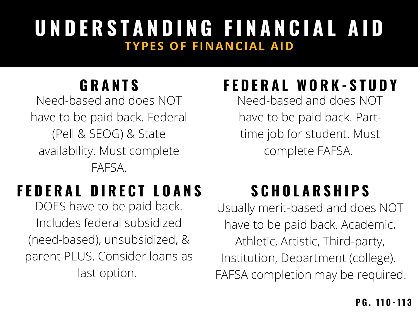## **U N D E R S T A N D I N G F I N A N C I A L A I D TYPES OF FINANCIAL AID**

#### **G R A N T S**

Need-based and does NOT have to be paid back. Federal (Pell & SEOG) & State availability. Must complete FAFSA.

# **F E D E R A L D I R E C T L O A N S**

DOES have to be paid back. Includes federal subsidized (need-based), unsubsidized, & parent PLUS. Consider loans as last option.

# **F E D E R A L W O R K - S T U D Y**

Need-based and does NOT have to be paid back. Parttime job for student. Must complete FAFSA.

# **S C H O L A R S H I P S**

Usually merit-based and does NOT have to be paid back. Academic, Athletic, Artistic, Third-party, Institution, Department (college). FAFSA completion may be required.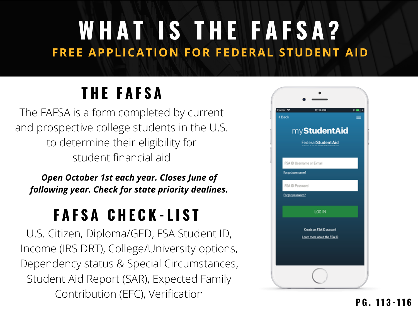# **W H A T I S T H E F A F S A ? FREE APPLICATION FOR FEDERAL STUDENT AID**

# **T H E F A F S A**

The FAFSA is a form completed by current and prospective college students in the U.S. to determine their eligibility for student financial aid

*Open October 1st each year. Closes June of following year. Check for state priority dealines.*

## **F A F S A C H E C K - L I S T**

U.S. Citizen, Diploma/GED, FSA Student ID, Income (IRS DRT), College/University options, Dependency status & Special Circumstances, Student Aid Report (SAR), Expected Family Contribution (EFC), Verification

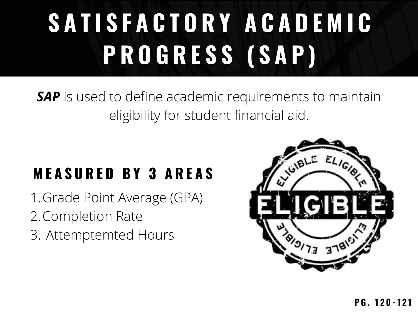# **S A T I S F A C T O R Y A C A D E M I C P R O G R E S S ( S A P )**

#### *SAP* is used to define academic requirements to maintain eligibility for student financial aid.

## **M E A S U R E D B Y 3 A R E A S**

- 1. Grade Point Average (GPA)
- 2. Completion Rate
- Attemptemted Hours 3.